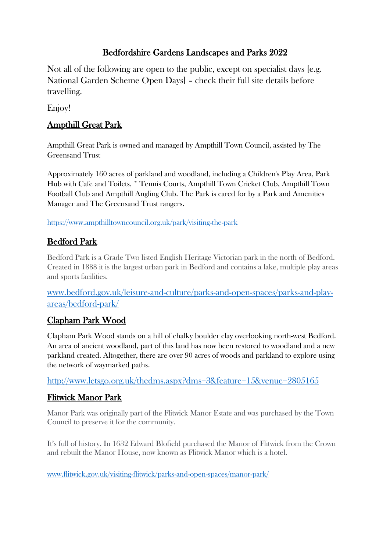# Bedfordshire Gardens Landscapes and Parks 2022

Not all of the following are open to the public, except on specialist days [e.g. National Garden Scheme Open Days] – check their full site details before travelling.

Enjoy!

# Ampthill Great Park

Ampthill Great Park is owned and managed by Ampthill Town Council, assisted by [The](http://www.greensandtrust.org/)  [Greensand Trust](http://www.greensandtrust.org/)

Approximately 160 acres of parkland and woodland, including a Children's Play Area, Park Hub with Cafe and Toilets, \* Tennis Courts, Ampthill Town Cricket Club, Ampthill Town Football Club and Ampthill Angling Club. The Park is cared for by a Park and Amenities Manager and The Greensand Trust rangers.

<https://www.ampthilltowncouncil.org.uk/park/visiting-the-park>

# Bedford Park

Bedford Park is a Grade Two listed English Heritage Victorian park in the north of Bedford. Created in 1888 it is the largest urban park in Bedford and contains a lake, multiple play areas and sports facilities.

[www.bedford.gov.uk/leisure-and-culture/parks-and-open-spaces/parks-and-play](http://www.bedford.gov.uk/leisure-and-culture/parks-and-open-spaces/parks-and-play-areas/bedford-park/)[areas/bedford-park/](http://www.bedford.gov.uk/leisure-and-culture/parks-and-open-spaces/parks-and-play-areas/bedford-park/)

# Clapham Park Wood

Clapham Park Wood stands on a hill of chalky boulder clay overlooking north-west Bedford. An area of ancient woodland, part of this land has now been restored to woodland and a new parkland created. Altogether, there are over 90 acres of woods and parkland to explore using the network of waymarked paths.

<http://www.letsgo.org.uk/thedms.aspx?dms=3&feature=15&venue=2805165>

### Flitwick Manor Park

Manor Park was originally part of the Flitwick Manor Estate and was purchased by the Town Council to preserve it for the community.

It's full of history. In 1632 Edward Blofield purchased the Manor of Flitwick from the Crown and rebuilt the Manor House, now known as Flitwick Manor which is a hotel.

[www.flitwick.gov.uk/visiting-flitwick/parks-and-open-spaces/manor-park/](http://www.flitwick.gov.uk/visiting-flitwick/parks-and-open-spaces/manor-park/)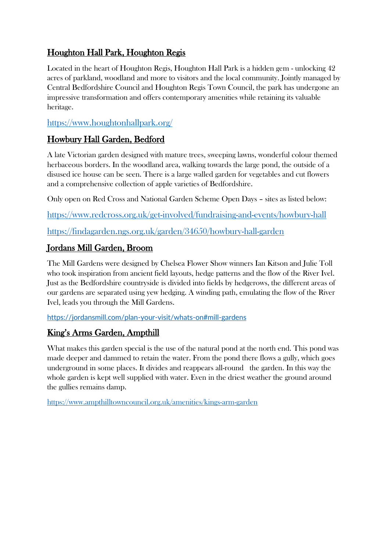# Houghton Hall Park, Houghton Regis

Located in the heart of Houghton Regis, Houghton Hall Park is a hidden gem - unlocking 42 acres of parkland, woodland and more to visitors and the local community. Jointly managed by Central Bedfordshire Council and Houghton Regis Town Council, the park has undergone an impressive transformation and offers contemporary amenities while retaining its valuable heritage.

<https://www.houghtonhallpark.org/>

### Howbury Hall Garden, Bedford

A late Victorian garden designed with mature trees, sweeping lawns, wonderful colour themed herbaceous borders. In the woodland area, walking towards the large pond, the outside of a disused ice house can be seen. There is a large walled garden for vegetables and cut flowers and a comprehensive collection of apple varieties of Bedfordshire.

Only open on Red Cross and National Garden Scheme Open Days – sites as listed below:

<https://www.redcross.org.uk/get-involved/fundraising-and-events/howbury-hall>

<https://findagarden.ngs.org.uk/garden/34650/howbury-hall-garden>

# Jordans Mill Garden, Broom

The Mill Gardens were designed by Chelsea Flower Show winners Ian Kitson and Julie Toll who took inspiration from ancient field layouts, hedge patterns and the flow of the River Ivel. Just as the Bedfordshire countryside is divided into fields by hedgerows, the different areas of our gardens are separated using yew hedging. A winding path, emulating the flow of the River Ivel, leads you through the Mill Gardens.

<https://jordansmill.com/plan-your-visit/whats-on#mill-gardens>

# King's Arms Garden, Ampthill

What makes this garden special is the use of the natural pond at the north end. This pond was made deeper and dammed to retain the water. From the pond there flows a gully, which goes underground in some places. It divides and reappears all-round the garden. In this way the whole garden is kept well supplied with water. Even in the driest weather the ground around the gullies remains damp.

<https://www.ampthilltowncouncil.org.uk/amenities/kings-arm-garden>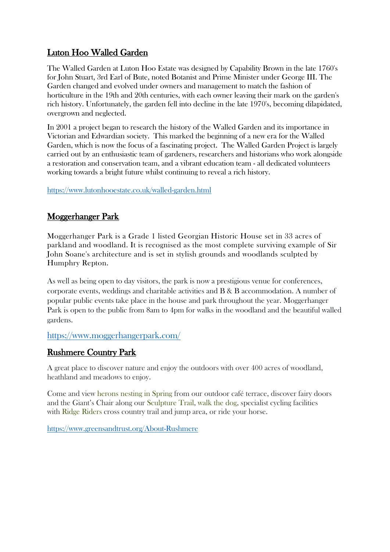# Luton Hoo Walled Garden

The Walled Garden at Luton Hoo Estate was designed by Capability Brown in the late 1760's for John Stuart, 3rd Earl of Bute, noted Botanist and Prime Minister under George III. The Garden changed and evolved under owners and management to match the fashion of horticulture in the 19th and 20th centuries, with each owner leaving their mark on the garden's rich history. Unfortunately, the garden fell into decline in the late 1970's, becoming dilapidated, overgrown and neglected.

In 2001 a project began to research the history of the Walled Garden and its importance in Victorian and Edwardian society. This marked the beginning of a new era for the Walled Garden, which is now the focus of a fascinating project. The Walled Garden Project is largely carried out by an enthusiastic team of gardeners, researchers and historians who work alongside a restoration and conservation team, and a vibrant education team - all dedicated volunteers working towards a bright future whilst continuing to reveal a rich history.

#### https://www.lutonhooestate.co.uk/walled-garden.html

# Moggerhanger Park

Moggerhanger Park is a Grade 1 listed Georgian Historic House set in 33 acres of parkland and woodland. It is recognised as the most complete surviving example of Sir John Soane's architecture and is set in stylish grounds and woodlands sculpted by Humphry Repton.

As well as being open to day visitors, the park is now a prestigious venue for conferences, corporate events, weddings and charitable activities and B & B accommodation. A number of popular public events take place in the house and park throughout the year. Moggerhanger Park is open to the public from 8am to 4pm for walks in the woodland and the beautiful walled gardens.

#### https://www.moggerhangerpark.com/

### Rushmere Country Park

A great place to discover nature and enjoy the outdoors with over 400 acres of woodland, heathland and meadows to enjoy.

Come and view herons nesting in Spring from our outdoor café terrace, discover fairy doors and the Giant's Chair along our Sculpture Trail, walk the dog, specialist cycling facilities with Ridge Riders cross country trail and jump area, or ride your horse.

https://www.greensandtrust.org/About-Rushmere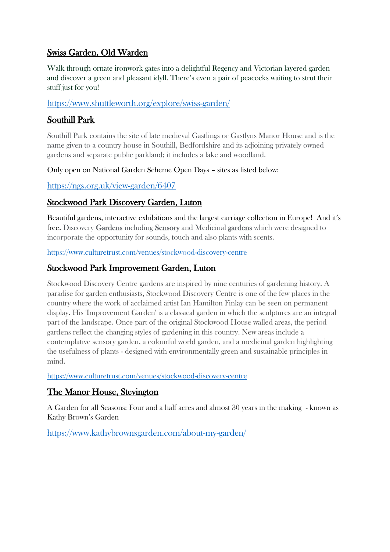### Swiss Garden, Old Warden

Walk through ornate ironwork gates into a delightful Regency and Victorian layered garden and discover a green and pleasant idyll. There's even a pair of peacocks waiting to strut their stuff just for you!

# https://www.shuttleworth.org/explore/swiss-garden/

### Southill Park

Southill Park contains the site of late medieval Gastlings or Gastlyns Manor House and is the name given to a country house in Southill, Bedfordshire and its adjoining privately owned gardens and separate public parkland; it includes a lake and woodland.

Only open on National Garden Scheme Open Days – sites as listed below:

### https://ngs.org.uk/view-garden/6407

# Stockwood Park Discovery Garden, Luton

Beautiful gardens, interactive exhibitions and the largest carriage collection in Europe! And it's free. Discovery Gardens including Sensory and Medicinal gardens which were designed to incorporate the opportunity for sounds, touch and also plants with scents.

https://www.culturetrust.com/venues/stockwood-discovery-centre

### Stockwood Park Improvement Garden, Luton

Stockwood Discovery Centre gardens are inspired by nine centuries of gardening history. A paradise for garden enthusiasts, Stockwood Discovery Centre is one of the few places in the country where the work of acclaimed artist Ian Hamilton Finlay can be seen on permanent display. His 'Improvement Garden' is a classical garden in which the sculptures are an integral part of the landscape. Once part of the original Stockwood House walled areas, the period gardens reflect the changing styles of gardening in this country. New areas include a contemplative sensory garden, a colourful world garden, and a medicinal garden highlighting the usefulness of plants - designed with environmentally green and sustainable principles in mind.

https://www.culturetrust.com/venues/stockwood-discovery-centre

### The Manor House, Stevington

A Garden for all Seasons: Four and a half acres and almost 30 years in the making - known as Kathy Brown's Garden

https://www.kathybrownsgarden.com/about-my-garden/